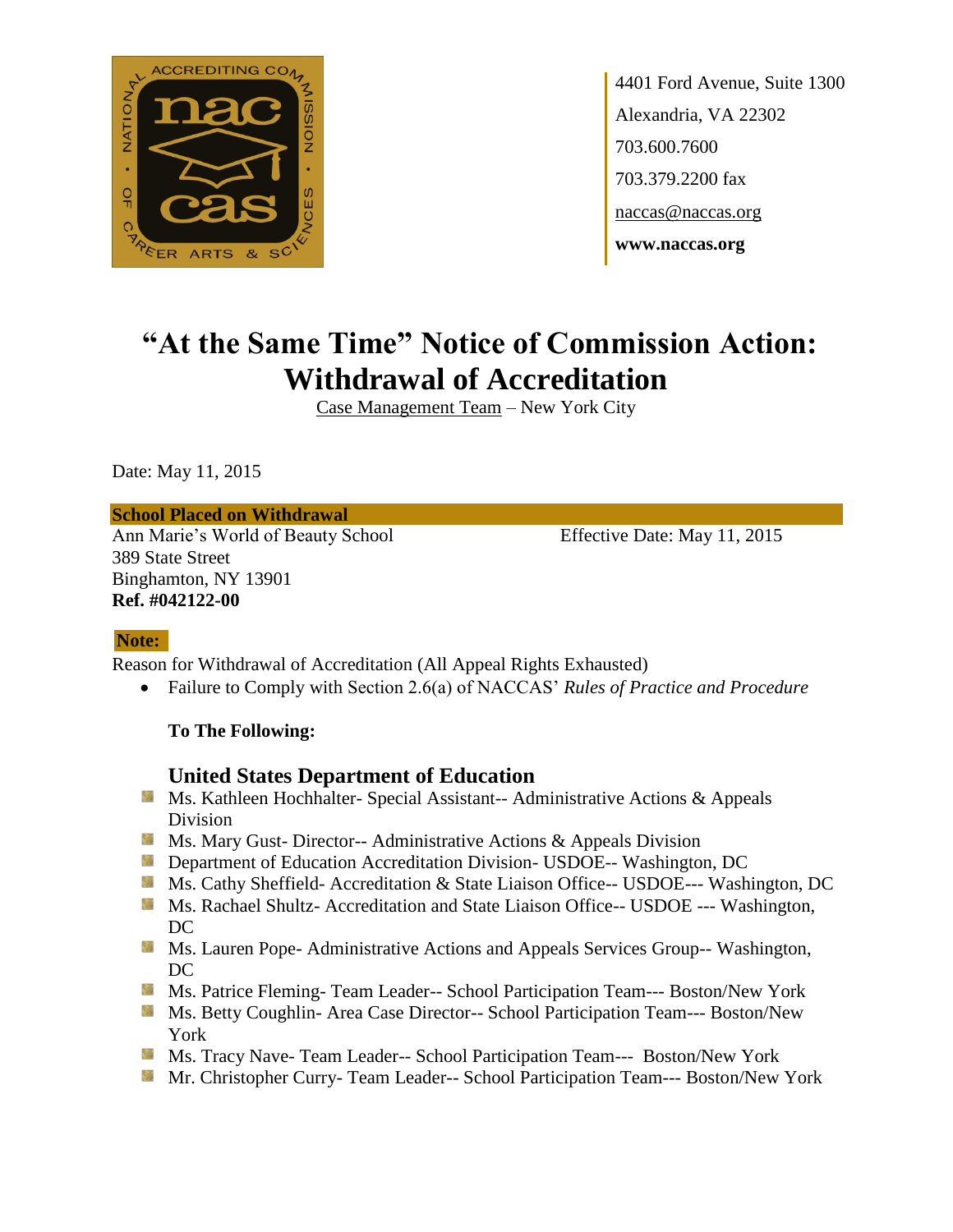

4401 Ford Avenue, Suite 1300 Alexandria, VA 22302 703.600.7600 703.379.2200 fax naccas@naccas.org **www.naccas.org**

# **"At the Same Time" Notice of Commission Action: Withdrawal of Accreditation**

Case Management Team – New York City

Date: May 11, 2015

#### **School Placed on Withdrawal**

Ann Marie's World of Beauty School Effective Date: May 11, 2015 389 State Street Binghamton, NY 13901 **Ref. #042122-00**

#### **Note:**

Reason for Withdrawal of Accreditation (All Appeal Rights Exhausted)

Failure to Comply with Section 2.6(a) of NACCAS' *Rules of Practice and Procedure*

#### **To The Following:**

#### **United States Department of Education**

- **MS. Kathleen Hochhalter- Special Assistant-- Administrative Actions & Appeals** Division
- **Ms. Mary Gust- Director-- Administrative Actions & Appeals Division**
- **Department of Education Accreditation Division- USDOE-- Washington, DC**
- Ms. Cathy Sheffield- Accreditation & State Liaison Office-- USDOE--- Washington, DC
- **MS. Rachael Shultz- Accreditation and State Liaison Office-- USDOE --- Washington,** DC
- **MS. Lauren Pope- Administrative Actions and Appeals Services Group-- Washington,** DC
- Ms. Patrice Fleming-Team Leader-- School Participation Team--- Boston/New York
- Ms. Betty Coughlin- Area Case Director-- School Participation Team--- Boston/New York
- Ms. Tracy Nave- Team Leader-- School Participation Team--- Boston/New York
- Mr. Christopher Curry- Team Leader-- School Participation Team--- Boston/New York